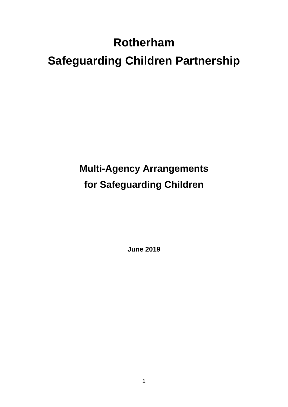# **Rotherham Safeguarding Children Partnership**

# **Multi-Agency Arrangements for Safeguarding Children**

**June 2019**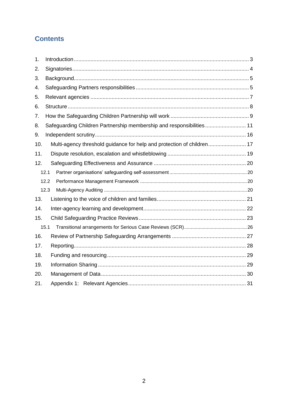## **Contents**

| 1.  |                                                                        |  |
|-----|------------------------------------------------------------------------|--|
| 2.  |                                                                        |  |
| 3.  |                                                                        |  |
| 4.  |                                                                        |  |
| 5.  |                                                                        |  |
| 6.  |                                                                        |  |
| 7.  |                                                                        |  |
| 8.  | Safeguarding Children Partnership membership and responsibilities 11   |  |
| 9.  |                                                                        |  |
| 10. | Multi-agency threshold guidance for help and protection of children 17 |  |
| 11. |                                                                        |  |
| 12. |                                                                        |  |
|     | 12.1                                                                   |  |
|     | 12.2                                                                   |  |
|     | 12.3                                                                   |  |
| 13. |                                                                        |  |
| 14. |                                                                        |  |
| 15. |                                                                        |  |
|     | 15.1                                                                   |  |
| 16. |                                                                        |  |
| 17. |                                                                        |  |
| 18. |                                                                        |  |
| 19. |                                                                        |  |
| 20. |                                                                        |  |
| 21. |                                                                        |  |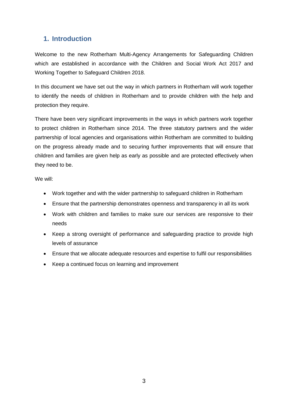## <span id="page-2-0"></span>**1. Introduction**

Welcome to the new Rotherham Multi-Agency Arrangements for Safeguarding Children which are established in accordance with the Children and Social Work Act 2017 and Working Together to Safeguard Children 2018.

In this document we have set out the way in which partners in Rotherham will work together to identify the needs of children in Rotherham and to provide children with the help and protection they require.

There have been very significant improvements in the ways in which partners work together to protect children in Rotherham since 2014. The three statutory partners and the wider partnership of local agencies and organisations within Rotherham are committed to building on the progress already made and to securing further improvements that will ensure that children and families are given help as early as possible and are protected effectively when they need to be.

We will:

- Work together and with the wider partnership to safeguard children in Rotherham
- Ensure that the partnership demonstrates openness and transparency in all its work
- Work with children and families to make sure our services are responsive to their needs
- Keep a strong oversight of performance and safeguarding practice to provide high levels of assurance
- Ensure that we allocate adequate resources and expertise to fulfil our responsibilities
- Keep a continued focus on learning and improvement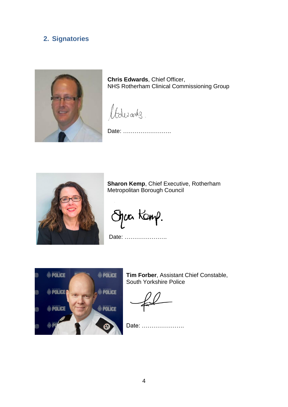## <span id="page-3-0"></span>**2. Signatories**



**Chris Edwards**, Chief Officer, NHS Rotherham Clinical Commissioning Group

Adisandes.

Date: …………………….



**Sharon Kemp**, Chief Executive, Rotherham Metropolitan Borough Council

Jac Kanp.

Date: ………………….



**Tim Forber**, Assistant Chief Constable, South Yorkshire Police

Date: ………………….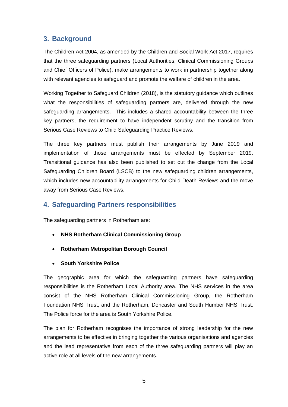## <span id="page-4-0"></span>**3. Background**

The Children Act 2004, as amended by the Children and Social Work Act 2017, requires that the three safeguarding partners (Local Authorities, Clinical Commissioning Groups and Chief Officers of Police), make arrangements to work in partnership together along with relevant agencies to safeguard and promote the welfare of children in the area.

Working Together to Safeguard Children (2018), is the statutory guidance which outlines what the responsibilities of safeguarding partners are, delivered through the new safeguarding arrangements. This includes a shared accountability between the three key partners, the requirement to have independent scrutiny and the transition from Serious Case Reviews to Child Safeguarding Practice Reviews.

The three key partners must publish their arrangements by June 2019 and implementation of those arrangements must be effected by September 2019. Transitional guidance has also been published to set out the change from the Local Safeguarding Children Board (LSCB) to the new safeguarding children arrangements, which includes new accountability arrangements for Child Death Reviews and the move away from Serious Case Reviews.

### <span id="page-4-1"></span>**4. Safeguarding Partners responsibilities**

The safeguarding partners in Rotherham are:

- **NHS Rotherham Clinical Commissioning Group**
- **Rotherham Metropolitan Borough Council**
- **South Yorkshire Police**

The geographic area for which the safeguarding partners have safeguarding responsibilities is the Rotherham Local Authority area. The NHS services in the area consist of the NHS Rotherham Clinical Commissioning Group, the Rotherham Foundation NHS Trust, and the Rotherham, Doncaster and South Humber NHS Trust. The Police force for the area is South Yorkshire Police.

The plan for Rotherham recognises the importance of strong leadership for the new arrangements to be effective in bringing together the various organisations and agencies and the lead representative from each of the three safeguarding partners will play an active role at all levels of the new arrangements.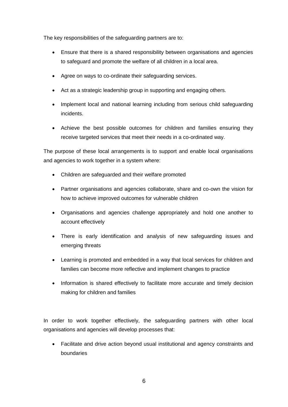The key responsibilities of the safeguarding partners are to:

- Ensure that there is a shared responsibility between organisations and agencies to safeguard and promote the welfare of all children in a local area.
- Agree on ways to co-ordinate their safeguarding services.
- Act as a strategic leadership group in supporting and engaging others.
- Implement local and national learning including from serious child safeguarding incidents.
- Achieve the best possible outcomes for children and families ensuring they receive targeted services that meet their needs in a co-ordinated way.

The purpose of these local arrangements is to support and enable local organisations and agencies to work together in a system where:

- Children are safeguarded and their welfare promoted
- Partner organisations and agencies collaborate, share and co-own the vision for how to achieve improved outcomes for vulnerable children
- Organisations and agencies challenge appropriately and hold one another to account effectively
- There is early identification and analysis of new safeguarding issues and emerging threats
- Learning is promoted and embedded in a way that local services for children and families can become more reflective and implement changes to practice
- Information is shared effectively to facilitate more accurate and timely decision making for children and families

In order to work together effectively, the safeguarding partners with other local organisations and agencies will develop processes that:

 Facilitate and drive action beyond usual institutional and agency constraints and boundaries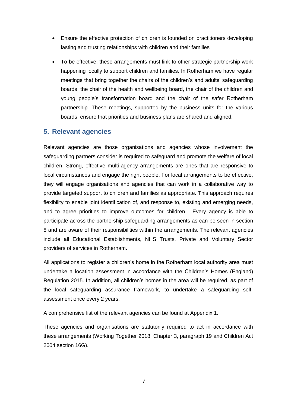- Ensure the effective protection of children is founded on practitioners developing lasting and trusting relationships with children and their families
- To be effective, these arrangements must link to other strategic partnership work happening locally to support children and families. In Rotherham we have regular meetings that bring together the chairs of the children's and adults' safeguarding boards, the chair of the health and wellbeing board, the chair of the children and young people's transformation board and the chair of the safer Rotherham partnership. These meetings, supported by the business units for the various boards, ensure that priorities and business plans are shared and aligned.

#### <span id="page-6-0"></span>**5. Relevant agencies**

Relevant agencies are those organisations and agencies whose involvement the safeguarding partners consider is required to safeguard and promote the welfare of local children. Strong, effective multi-agency arrangements are ones that are responsive to local circumstances and engage the right people. For local arrangements to be effective, they will engage organisations and agencies that can work in a collaborative way to provide targeted support to children and families as appropriate. This approach requires flexibility to enable joint identification of, and response to, existing and emerging needs, and to agree priorities to improve outcomes for children. Every agency is able to participate across the partnership safeguarding arrangements as can be seen in section 8 and are aware of their responsibilities within the arrangements. The relevant agencies include all Educational Establishments, NHS Trusts, Private and Voluntary Sector providers of services in Rotherham.

All applications to register a children's home in the Rotherham local authority area must undertake a location assessment in accordance with the Children's Homes (England) Regulation 2015. In addition, all children's homes in the area will be required, as part of the local safeguarding assurance framework, to undertake a safeguarding selfassessment once every 2 years.

A comprehensive list of the relevant agencies can be found at Appendix 1.

These agencies and organisations are statutorily required to act in accordance with these arrangements (Working Together 2018, Chapter 3, paragraph 19 and Children Act 2004 section 16G).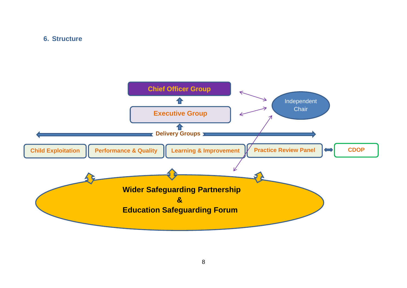#### **6. Structure**

<span id="page-7-0"></span>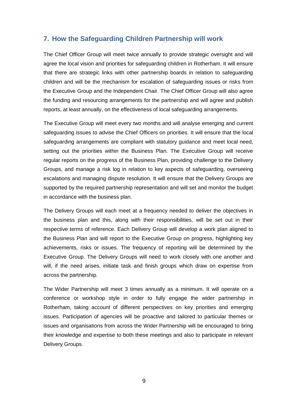#### <span id="page-8-0"></span>**7. How the Safeguarding Children Partnership will work**

The Chief Officer Group will meet twice annually to provide strategic oversight and will agree the local vision and priorities for safeguarding children in Rotherham. It will ensure that there are strategic links with other partnership boards in relation to safeguarding children and will be the mechanism for escalation of safeguarding issues or risks from the Executive Group and the Independent Chair. The Chief Officer Group will also agree the funding and resourcing arrangements for the partnership and will agree and publish reports, at least annually, on the effectiveness of local safeguarding arrangements.

The Executive Group will meet every two months and will analyse emerging and current safeguarding issues to advise the Chief Officers on priorities. It will ensure that the local safeguarding arrangements are compliant with statutory guidance and meet local need, setting out the priorities within the Business Plan. The Executive Group will receive regular reports on the progress of the Business Plan, providing challenge to the Delivery Groups, and manage a risk log in relation to key aspects of safeguarding, overseeing escalations and managing dispute resolution. It will ensure that the Delivery Groups are supported by the required partnership representation and will set and monitor the budget in accordance with the business plan.

The Delivery Groups will each meet at a frequency needed to deliver the objectives in the business plan and this, along with their responsibilities, will be set out in their respective terms of reference. Each Delivery Group will develop a work plan aligned to the Business Plan and will report to the Executive Group on progress, highlighting key achievements, risks or issues. The frequency of reporting will be determined by the Executive Group. The Delivery Groups will need to work closely with one another and will, if the need arises, initiate task and finish groups which draw on expertise from across the partnership.

The Wider Partnership will meet 3 times annually as a minimum. It will operate on a conference or workshop style in order to fully engage the wider partnership in Rotherham, taking account of different perspectives on key priorities and emerging issues. Participation of agencies will be proactive and tailored to particular themes or issues and organisations from across the Wider Partnership will be encouraged to bring their knowledge and expertise to both these meetings and also to participate in relevant Delivery Groups.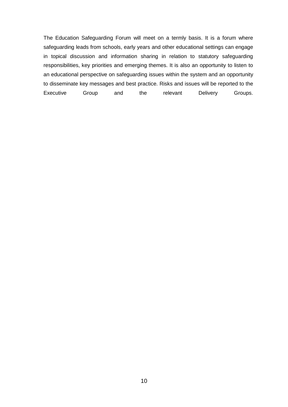The Education Safeguarding Forum will meet on a termly basis. It is a forum where safeguarding leads from schools, early years and other educational settings can engage in topical discussion and information sharing in relation to statutory safeguarding responsibilities, key priorities and emerging themes. It is also an opportunity to listen to an educational perspective on safeguarding issues within the system and an opportunity to disseminate key messages and best practice. Risks and issues will be reported to the Executive Group and the relevant Delivery Groups.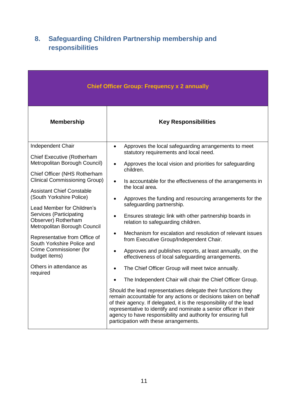# <span id="page-10-0"></span>**8. Safeguarding Children Partnership membership and responsibilities**

| <b>Chief Officer Group: Frequency x 2 annually</b>                                                                                                                                                                                                                                                                                                                                                                             |                                                                                                                                                                                                                                                                                                                                                                                                                                                                                                                                                                                                 |  |  |  |  |
|--------------------------------------------------------------------------------------------------------------------------------------------------------------------------------------------------------------------------------------------------------------------------------------------------------------------------------------------------------------------------------------------------------------------------------|-------------------------------------------------------------------------------------------------------------------------------------------------------------------------------------------------------------------------------------------------------------------------------------------------------------------------------------------------------------------------------------------------------------------------------------------------------------------------------------------------------------------------------------------------------------------------------------------------|--|--|--|--|
| <b>Membership</b>                                                                                                                                                                                                                                                                                                                                                                                                              | <b>Key Responsibilities</b>                                                                                                                                                                                                                                                                                                                                                                                                                                                                                                                                                                     |  |  |  |  |
| Independent Chair                                                                                                                                                                                                                                                                                                                                                                                                              | Approves the local safeguarding arrangements to meet<br>$\bullet$<br>statutory requirements and local need.                                                                                                                                                                                                                                                                                                                                                                                                                                                                                     |  |  |  |  |
| <b>Chief Executive (Rotherham</b><br>Metropolitan Borough Council)<br>Chief Officer (NHS Rotherham<br>Clinical Commissioning Group)<br><b>Assistant Chief Constable</b><br>(South Yorkshire Police)<br>Lead Member for Children's<br>Services (Participating<br>Observer) Rotherham<br>Metropolitan Borough Council<br>Representative from Office of<br>South Yorkshire Police and<br>Crime Commissioner (for<br>budget items) | Approves the local vision and priorities for safeguarding<br>children.<br>Is accountable for the effectiveness of the arrangements in<br>$\bullet$<br>the local area.<br>Approves the funding and resourcing arrangements for the<br>safeguarding partnership.<br>Ensures strategic link with other partnership boards in<br>relation to safeguarding children.<br>Mechanism for escalation and resolution of relevant issues<br>٠<br>from Executive Group/Independent Chair.<br>Approves and publishes reports, at least annually, on the<br>effectiveness of local safeguarding arrangements. |  |  |  |  |
| Others in attendance as<br>required                                                                                                                                                                                                                                                                                                                                                                                            | The Chief Officer Group will meet twice annually.                                                                                                                                                                                                                                                                                                                                                                                                                                                                                                                                               |  |  |  |  |
|                                                                                                                                                                                                                                                                                                                                                                                                                                | The Independent Chair will chair the Chief Officer Group.                                                                                                                                                                                                                                                                                                                                                                                                                                                                                                                                       |  |  |  |  |
|                                                                                                                                                                                                                                                                                                                                                                                                                                | Should the lead representatives delegate their functions they<br>remain accountable for any actions or decisions taken on behalf<br>of their agency. If delegated, it is the responsibility of the lead<br>representative to identify and nominate a senior officer in their<br>agency to have responsibility and authority for ensuring full<br>participation with these arrangements.                                                                                                                                                                                                         |  |  |  |  |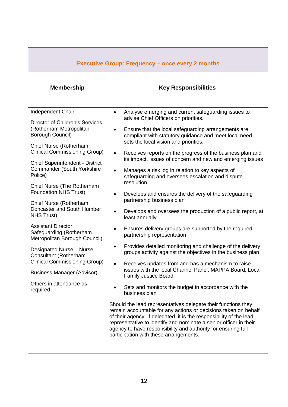| <b>Key Responsibilities</b><br><b>Membership</b><br>Independent Chair<br>Analyse emerging and current safeguarding issues to<br>$\bullet$<br>advise Chief Officers on priorities.<br>Director of Children's Services<br>(Rotherham Metropolitan<br>Ensure that the local safeguarding arrangements are<br>٠<br>Borough Council)<br>compliant with statutory guidance and meet local need -<br>sets the local vision and priorities.<br>Chief Nurse (Rotherham<br><b>Clinical Commissioning Group)</b><br>Receives reports on the progress of the business plan and<br>$\bullet$<br>its impact, issues of concern and new and emerging issues<br><b>Chief Superintendent - District</b><br><b>Commander (South Yorkshire</b><br>Manages a risk log in relation to key aspects of<br>Police)<br>safeguarding and oversees escalation and dispute<br>resolution<br>Chief Nurse (The Rotherham<br><b>Foundation NHS Trust)</b><br>Develops and ensures the delivery of the safeguarding<br>$\bullet$<br>partnership business plan<br>Chief Nurse (Rotherham<br>Doncaster and South Humber<br>Develops and oversees the production of a public report, at<br>$\bullet$<br><b>NHS Trust)</b><br>least annually<br>Assistant Director,<br>Ensures delivery groups are supported by the required<br>Safeguarding (Rotherham<br>partnership representation<br>Metropolitan Borough Council)<br>Provides detailed monitoring and challenge of the delivery<br>٠<br>Designated Nurse - Nurse<br>groups activity against the objectives in the business plan<br>Consultant (Rotherham<br><b>Clinical Commissioning Group)</b><br>Receives updates from and has a mechanism to raise<br>$\bullet$<br>issues with the local Channel Panel, MAPPA Board, Local<br><b>Business Manager (Advisor)</b><br>Family Justice Board.<br>Others in attendance as<br>Sets and monitors the budget in accordance with the<br>required<br>business plan<br>Should the lead representatives delegate their functions they<br>remain accountable for any actions or decisions taken on behalf<br>of their agency. If delegated, it is the responsibility of the lead<br>representative to identify and nominate a senior officer in their<br>agency to have responsibility and authority for ensuring full |
|-------------------------------------------------------------------------------------------------------------------------------------------------------------------------------------------------------------------------------------------------------------------------------------------------------------------------------------------------------------------------------------------------------------------------------------------------------------------------------------------------------------------------------------------------------------------------------------------------------------------------------------------------------------------------------------------------------------------------------------------------------------------------------------------------------------------------------------------------------------------------------------------------------------------------------------------------------------------------------------------------------------------------------------------------------------------------------------------------------------------------------------------------------------------------------------------------------------------------------------------------------------------------------------------------------------------------------------------------------------------------------------------------------------------------------------------------------------------------------------------------------------------------------------------------------------------------------------------------------------------------------------------------------------------------------------------------------------------------------------------------------------------------------------------------------------------------------------------------------------------------------------------------------------------------------------------------------------------------------------------------------------------------------------------------------------------------------------------------------------------------------------------------------------------------------------------------------------------------------------------------------------------------------|
|                                                                                                                                                                                                                                                                                                                                                                                                                                                                                                                                                                                                                                                                                                                                                                                                                                                                                                                                                                                                                                                                                                                                                                                                                                                                                                                                                                                                                                                                                                                                                                                                                                                                                                                                                                                                                                                                                                                                                                                                                                                                                                                                                                                                                                                                               |
| participation with these arrangements.                                                                                                                                                                                                                                                                                                                                                                                                                                                                                                                                                                                                                                                                                                                                                                                                                                                                                                                                                                                                                                                                                                                                                                                                                                                                                                                                                                                                                                                                                                                                                                                                                                                                                                                                                                                                                                                                                                                                                                                                                                                                                                                                                                                                                                        |

r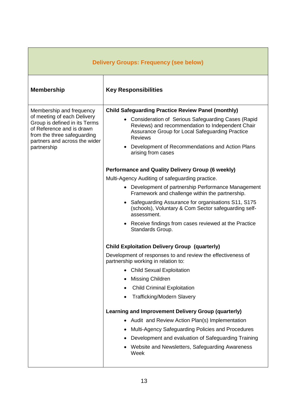| <b>Delivery Groups: Frequency (see below)</b>                                                                                                                                                        |                                                                                                                                                                                                                                                                                                                                                                                                                                                                                                                                                                                      |  |  |  |  |
|------------------------------------------------------------------------------------------------------------------------------------------------------------------------------------------------------|--------------------------------------------------------------------------------------------------------------------------------------------------------------------------------------------------------------------------------------------------------------------------------------------------------------------------------------------------------------------------------------------------------------------------------------------------------------------------------------------------------------------------------------------------------------------------------------|--|--|--|--|
| <b>Membership</b>                                                                                                                                                                                    | <b>Key Responsibilities</b>                                                                                                                                                                                                                                                                                                                                                                                                                                                                                                                                                          |  |  |  |  |
| Membership and frequency<br>of meeting of each Delivery<br>Group is defined in its Terms<br>of Reference and is drawn<br>from the three safeguarding<br>partners and across the wider<br>partnership | <b>Child Safeguarding Practice Review Panel (monthly)</b><br>• Consideration of Serious Safeguarding Cases (Rapid<br>Reviews) and recommendation to Independent Chair<br>Assurance Group for Local Safeguarding Practice<br><b>Reviews</b><br>Development of Recommendations and Action Plans<br>$\bullet$<br>arising from cases                                                                                                                                                                                                                                                     |  |  |  |  |
|                                                                                                                                                                                                      | Performance and Quality Delivery Group (6 weekly)<br>Multi-Agency Auditing of safeguarding practice.<br>• Development of partnership Performance Management<br>Framework and challenge within the partnership.<br>Safeguarding Assurance for organisations S11, S175<br>$\bullet$<br>(schools), Voluntary & Com Sector safeguarding self-<br>assessment.<br>• Receive findings from cases reviewed at the Practice<br>Standards Group.                                                                                                                                               |  |  |  |  |
|                                                                                                                                                                                                      | <b>Child Exploitation Delivery Group (quarterly)</b><br>Development of responses to and review the effectiveness of<br>partnership working in relation to:<br><b>Child Sexual Exploitation</b><br>Missing Children<br><b>Child Criminal Exploitation</b><br><b>Trafficking/Modern Slavery</b><br><b>Learning and Improvement Delivery Group (quarterly)</b><br>Audit and Review Action Plan(s) Implementation<br>Multi-Agency Safeguarding Policies and Procedures<br>Development and evaluation of Safeguarding Training<br>Website and Newsletters, Safeguarding Awareness<br>Week |  |  |  |  |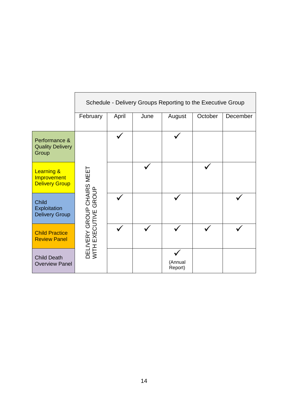|                                                               | Schedule - Delivery Groups Reporting to the Executive Group |       |      |                    |         |          |
|---------------------------------------------------------------|-------------------------------------------------------------|-------|------|--------------------|---------|----------|
|                                                               | February                                                    | April | June | August             | October | December |
| Performance &<br><b>Quality Delivery</b><br>Group             |                                                             |       |      |                    |         |          |
| <b>Learning &amp;</b><br>Improvement<br><b>Delivery Group</b> |                                                             |       |      |                    |         |          |
| <b>Child</b><br>Exploitation<br><b>Delivery Group</b>         | DELIVERY GROUP CHAIRS MEET<br>WITH EXECUTIVE GROUP<br>GROUP |       |      |                    |         |          |
| <b>Child Practice</b><br><b>Review Panel</b>                  |                                                             |       |      |                    |         |          |
| <b>Child Death</b><br><b>Overview Panel</b>                   |                                                             |       |      | (Annual<br>Report) |         |          |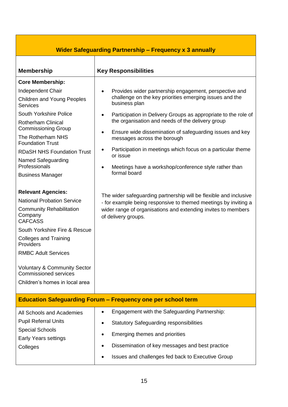| <b>Wider Safeguarding Partnership - Frequency x 3 annually</b>                                                                                                                                                                                                                                                                                                                                                                                                                                                                                                                                                                                                                                                     |                                                                                                                                                                                                                                                                                                                                                                                                                                                                                                                                                                                                                                                                                                                                                                                             |  |  |  |  |
|--------------------------------------------------------------------------------------------------------------------------------------------------------------------------------------------------------------------------------------------------------------------------------------------------------------------------------------------------------------------------------------------------------------------------------------------------------------------------------------------------------------------------------------------------------------------------------------------------------------------------------------------------------------------------------------------------------------------|---------------------------------------------------------------------------------------------------------------------------------------------------------------------------------------------------------------------------------------------------------------------------------------------------------------------------------------------------------------------------------------------------------------------------------------------------------------------------------------------------------------------------------------------------------------------------------------------------------------------------------------------------------------------------------------------------------------------------------------------------------------------------------------------|--|--|--|--|
| <b>Membership</b>                                                                                                                                                                                                                                                                                                                                                                                                                                                                                                                                                                                                                                                                                                  | <b>Key Responsibilities</b>                                                                                                                                                                                                                                                                                                                                                                                                                                                                                                                                                                                                                                                                                                                                                                 |  |  |  |  |
| <b>Core Membership:</b><br>Independent Chair<br><b>Children and Young Peoples</b><br><b>Services</b><br><b>South Yorkshire Police</b><br><b>Rotherham Clinical</b><br><b>Commissioning Group</b><br>The Rotherham NHS<br><b>Foundation Trust</b><br><b>RDaSH NHS Foundation Trust</b><br>Named Safeguarding<br>Professionals<br><b>Business Manager</b><br><b>Relevant Agencies:</b><br><b>National Probation Service</b><br><b>Community Rehabilitation</b><br>Company<br><b>CAFCASS</b><br>South Yorkshire Fire & Rescue<br><b>Colleges and Training</b><br>Providers<br><b>RMBC Adult Services</b><br><b>Voluntary &amp; Community Sector</b><br><b>Commissioned services</b><br>Children's homes in local area | Provides wider partnership engagement, perspective and<br>$\bullet$<br>challenge on the key priorities emerging issues and the<br>business plan<br>Participation in Delivery Groups as appropriate to the role of<br>$\bullet$<br>the organisation and needs of the delivery group<br>Ensure wide dissemination of safeguarding issues and key<br>$\bullet$<br>messages across the borough<br>Participation in meetings which focus on a particular theme<br>or issue<br>Meetings have a workshop/conference style rather than<br>$\bullet$<br>formal board<br>The wider safeguarding partnership will be flexible and inclusive<br>- for example being responsive to themed meetings by inviting a<br>wider range of organisations and extending invites to members<br>of delivery groups. |  |  |  |  |
| <b>Education Safeguarding Forum - Frequency one per school term</b>                                                                                                                                                                                                                                                                                                                                                                                                                                                                                                                                                                                                                                                |                                                                                                                                                                                                                                                                                                                                                                                                                                                                                                                                                                                                                                                                                                                                                                                             |  |  |  |  |
| All Schools and Academies<br><b>Pupil Referral Units</b><br><b>Special Schools</b><br><b>Early Years settings</b><br>Colleges                                                                                                                                                                                                                                                                                                                                                                                                                                                                                                                                                                                      | Engagement with the Safeguarding Partnership:<br>$\bullet$<br><b>Statutory Safeguarding responsibilities</b><br>$\bullet$<br>Emerging themes and priorities<br>$\bullet$<br>Dissemination of key messages and best practice<br>$\bullet$<br>Issues and challenges fed back to Executive Group                                                                                                                                                                                                                                                                                                                                                                                                                                                                                               |  |  |  |  |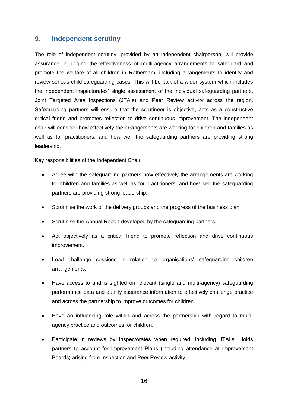#### <span id="page-15-0"></span>**9. Independent scrutiny**

The role of independent scrutiny, provided by an independent chairperson, will provide assurance in judging the effectiveness of multi-agency arrangements to safeguard and promote the welfare of all children in Rotherham, including arrangements to identify and review serious child safeguarding cases. This will be part of a wider system which includes the independent inspectorates' single assessment of the individual safeguarding partners, Joint Targeted Area Inspections (JTAIs) and Peer Review activity across the region. Safeguarding partners will ensure that the scrutineer is objective, acts as a constructive critical friend and promotes reflection to drive continuous improvement. The independent chair will consider how effectively the arrangements are working for children and families as well as for practitioners, and how well the safeguarding partners are providing strong leadership.

Key responsibilities of the Independent Chair:

- Agree with the safeguarding partners how effectively the arrangements are working for children and families as well as for practitioners, and how well the safeguarding partners are providing strong leadership.
- Scrutinise the work of the delivery groups and the progress of the business plan.
- Scrutinise the Annual Report developed by the safeguarding partners.
- Act objectively as a critical friend to promote reflection and drive continuous improvement.
- Lead challenge sessions in relation to organisations' safeguarding children arrangements.
- Have access to and is sighted on relevant (single and multi-agency) safeguarding performance data and quality assurance information to effectively challenge practice and across the partnership to improve outcomes for children.
- Have an influencing role within and across the partnership with regard to multiagency practice and outcomes for children.
- Participate in reviews by Inspectorates when required, including JTAI's. Holds partners to account for Improvement Plans (including attendance at Improvement Boards) arising from Inspection and Peer Review activity.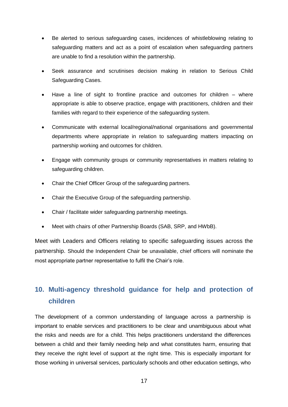- Be alerted to serious safeguarding cases, incidences of whistleblowing relating to safeguarding matters and act as a point of escalation when safeguarding partners are unable to find a resolution within the partnership.
- Seek assurance and scrutinises decision making in relation to Serious Child Safeguarding Cases.
- Have a line of sight to frontline practice and outcomes for children where appropriate is able to observe practice, engage with practitioners, children and their families with regard to their experience of the safeguarding system.
- Communicate with external local/regional/national organisations and governmental departments where appropriate in relation to safeguarding matters impacting on partnership working and outcomes for children.
- Engage with community groups or community representatives in matters relating to safeguarding children.
- Chair the Chief Officer Group of the safeguarding partners.
- Chair the Executive Group of the safeguarding partnership.
- Chair / facilitate wider safeguarding partnership meetings.
- Meet with chairs of other Partnership Boards (SAB, SRP, and HWbB).

Meet with Leaders and Officers relating to specific safeguarding issues across the partnership. Should the Independent Chair be unavailable, chief officers will nominate the most appropriate partner representative to fulfil the Chair's role.

# <span id="page-16-0"></span>**10. Multi-agency threshold guidance for help and protection of children**

The development of a common understanding of language across a partnership is important to enable services and practitioners to be clear and unambiguous about what the risks and needs are for a child. This helps practitioners understand the differences between a child and their family needing help and what constitutes harm, ensuring that they receive the right level of support at the right time. This is especially important for those working in universal services, particularly schools and other education settings, who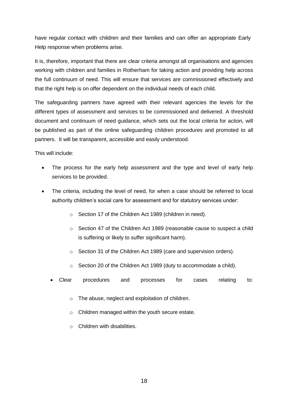have regular contact with children and their families and can offer an appropriate Early Help response when problems arise.

It is, therefore, important that there are clear criteria amongst all organisations and agencies working with children and families in Rotherham for taking action and providing help across the full continuum of need. This will ensure that services are commissioned effectively and that the right help is on offer dependent on the individual needs of each child.

The safeguarding partners have agreed with their relevant agencies the levels for the different types of assessment and services to be commissioned and delivered. A threshold document and continuum of need guidance, which sets out the local criteria for action, will be published as part of the online safeguarding children procedures and promoted to all partners. It will be transparent, accessible and easily understood.

This will include:

- The process for the early help assessment and the type and level of early help services to be provided.
- The criteria, including the level of need, for when a case should be referred to local authority children's social care for assessment and for statutory services under:
	- o Section 17 of the Children Act 1989 (children in need).
	- o Section 47 of the Children Act 1989 (reasonable cause to suspect a child is suffering or likely to suffer significant harm).
	- o Section 31 of the Children Act 1989 (care and supervision orders).
	- o Section 20 of the Children Act 1989 (duty to accommodate a child).
	- Clear procedures and processes for cases relating to:
		- o The abuse, neglect and exploitation of children.
		- o Children managed within the youth secure estate.
		- o Children with disabilities.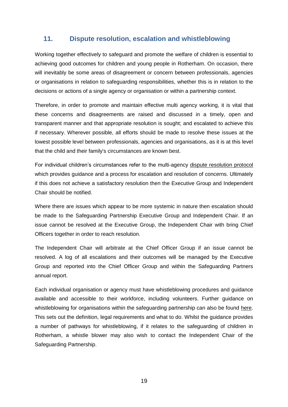## <span id="page-18-0"></span>**11. Dispute resolution, escalation and whistleblowing**

Working together effectively to safeguard and promote the welfare of children is essential to achieving good outcomes for children and young people in Rotherham. On occasion, there will inevitably be some areas of disagreement or concern between professionals, agencies or organisations in relation to safeguarding responsibilities, whether this is in relation to the decisions or actions of a single agency or organisation or within a partnership context.

Therefore, in order to promote and maintain effective multi agency working, it is vital that these concerns and disagreements are raised and discussed in a timely, open and transparent manner and that appropriate resolution is sought; and escalated to achieve this if necessary. Wherever possible, all efforts should be made to resolve these issues at the lowest possible level between professionals, agencies and organisations, as it is at this level that the child and their family's circumstances are known best.

For individual children's circumstances refer to the multi-agency [dispute resolution protocol](https://rotherhamscb.proceduresonline.com/chapters/p_practice_resolution.html?zoom_highlight=resolution) which provides guidance and a process for escalation and resolution of concerns. Ultimately if this does not achieve a satisfactory resolution then the Executive Group and Independent Chair should be notified.

Where there are issues which appear to be more systemic in nature then escalation should be made to the Safeguarding Partnership Executive Group and Independent Chair. If an issue cannot be resolved at the Executive Group, the Independent Chair with bring Chief Officers together in order to reach resolution.

The Independent Chair will arbitrate at the Chief Officer Group if an issue cannot be resolved. A log of all escalations and their outcomes will be managed by the Executive Group and reported into the Chief Officer Group and within the Safeguarding Partners annual report.

Each individual organisation or agency must have whistleblowing procedures and guidance available and accessible to their workforce, including volunteers. Further guidance on whistleblowing for organisations within the safeguarding partnership can also be found [here.](https://rotherhamscb.proceduresonline.com/chapters/p_whistleblowing.html?zoom_highlight=whistle) This sets out the definition, legal requirements and what to do. Whilst the guidance provides a number of pathways for whistleblowing, if it relates to the safeguarding of children in Rotherham, a whistle blower may also wish to contact the Independent Chair of the Safeguarding Partnership.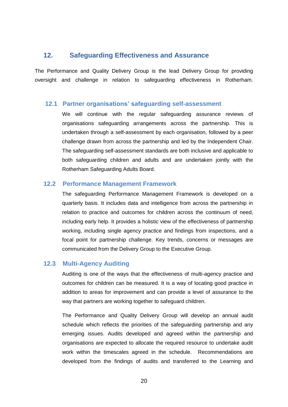#### <span id="page-19-0"></span>**12. Safeguarding Effectiveness and Assurance**

The Performance and Quality Delivery Group is the lead Delivery Group for providing oversight and challenge in relation to safeguarding effectiveness in Rotherham.

#### **12.1 Partner organisations' safeguarding self-assessment**

<span id="page-19-1"></span>We will continue with the regular safeguarding assurance reviews of organisations safeguarding arrangements across the partnership. This is undertaken through a self-assessment by each organisation, followed by a peer challenge drawn from across the partnership and led by the Independent Chair. The safeguarding self-assessment standards are both inclusive and applicable to both safeguarding children and adults and are undertaken jointly with the Rotherham Safeguarding Adults Board.

#### **12.2 Performance Management Framework**

<span id="page-19-2"></span>The safeguarding Performance Management Framework is developed on a quarterly basis. It includes data and intelligence from across the partnership in relation to practice and outcomes for children across the continuum of need, including early help. It provides a holistic view of the effectiveness of partnership working, including single agency practice and findings from inspections, and a focal point for partnership challenge. Key trends, concerns or messages are communicated from the Delivery Group to the Executive Group.

#### **12.3 Multi-Agency Auditing**

<span id="page-19-3"></span>Auditing is one of the ways that the effectiveness of multi-agency practice and outcomes for children can be measured. It is a way of locating good practice in addition to areas for improvement and can provide a level of assurance to the way that partners are working together to safeguard children.

The Performance and Quality Delivery Group will develop an annual audit schedule which reflects the priorities of the safeguarding partnership and any emerging issues. Audits developed and agreed within the partnership and organisations are expected to allocate the required resource to undertake audit work within the timescales agreed in the schedule. Recommendations are developed from the findings of audits and transferred to the Learning and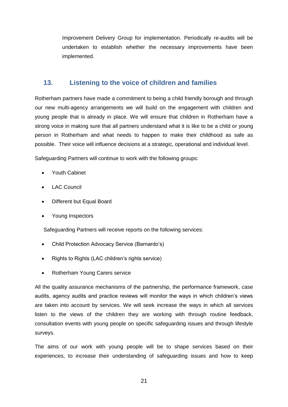Improvement Delivery Group for implementation. Periodically re-audits will be undertaken to establish whether the necessary improvements have been implemented.

## <span id="page-20-0"></span>**13. Listening to the voice of children and families**

Rotherham partners have made a commitment to being a child friendly borough and through our new multi-agency arrangements we will build on the engagement with children and young people that is already in place. We will ensure that children in Rotherham have a strong voice in making sure that all partners understand what it is like to be a child or young person in Rotherham and what needs to happen to make their childhood as safe as possible. Their voice will influence decisions at a strategic, operational and individual level.

Safeguarding Partners will continue to work with the following groups:

- Youth Cabinet
- LAC Council
- Different but Equal Board
- Young Inspectors

Safeguarding Partners will receive reports on the following services:

- Child Protection Advocacy Service (Barnardo's)
- Rights to Rights (LAC children's rights service)
- Rotherham Young Carers service

All the quality assurance mechanisms of the partnership, the performance framework, case audits, agency audits and practice reviews will monitor the ways in which children's views are taken into account by services. We will seek increase the ways in which all services listen to the views of the children they are working with through routine feedback, consultation events with young people on specific safeguarding issues and through lifestyle surveys.

The aims of our work with young people will be to shape services based on their experiences, to increase their understanding of safeguarding issues and how to keep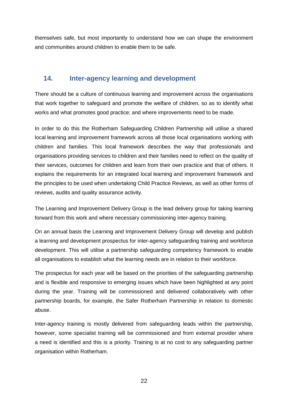themselves safe, but most importantly to understand how we can shape the environment and communities around children to enable them to be safe.

## <span id="page-21-0"></span>**14. Inter-agency learning and development**

There should be a culture of continuous learning and improvement across the organisations that work together to safeguard and promote the welfare of children, so as to identify what works and what promotes good practice; and where improvements need to be made.

In order to do this the Rotherham Safeguarding Children Partnership will utilise a shared local learning and improvement framework across all those local organisations working with children and families. This local framework describes the way that professionals and organisations providing services to children and their families need to reflect on the quality of their services, outcomes for children and learn from their own practice and that of others. It explains the requirements for an integrated local learning and improvement framework and the principles to be used when undertaking Child Practice Reviews, as well as other forms of reviews, audits and quality assurance activity.

The Learning and Improvement Delivery Group is the lead delivery group for taking learning forward from this work and where necessary commissioning inter-agency training.

On an annual basis the Learning and Improvement Delivery Group will develop and publish a learning and development prospectus for inter-agency safeguarding training and workforce development. This will utilise a partnership safeguarding competency framework to enable all organisations to establish what the learning needs are in relation to their workforce.

The prospectus for each year will be based on the priorities of the safeguarding partnership and is flexible and responsive to emerging issues which have been highlighted at any point during the year. Training will be commissioned and delivered collaboratively with other partnership boards, for example, the Safer Rotherham Partnership in relation to domestic abuse.

Inter-agency training is mostly delivered from safeguarding leads within the partnership, however, some specialist training will be commissioned and from external provider where a need is identified and this is a priority. Training is at no cost to any safeguarding partner organisation within Rotherham.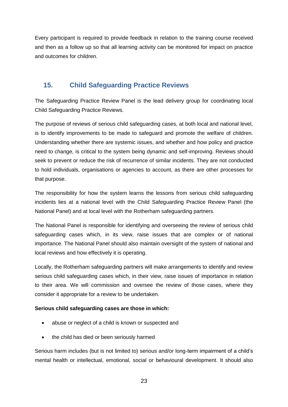Every participant is required to provide feedback in relation to the training course received and then as a follow up so that all learning activity can be monitored for impact on practice and outcomes for children.

## <span id="page-22-0"></span>**15. Child Safeguarding Practice Reviews**

The Safeguarding Practice Review Panel is the lead delivery group for coordinating local Child Safeguarding Practice Reviews.

The purpose of reviews of serious child safeguarding cases, at both local and national level, is to identify improvements to be made to safeguard and promote the welfare of children. Understanding whether there are systemic issues, and whether and how policy and practice need to change, is critical to the system being dynamic and self-improving. Reviews should seek to prevent or reduce the risk of recurrence of similar incidents. They are not conducted to hold individuals, organisations or agencies to account, as there are other processes for that purpose.

The responsibility for how the system learns the lessons from serious child safeguarding incidents lies at a national level with the Child Safeguarding Practice Review Panel (the National Panel) and at local level with the Rotherham safeguarding partners.

The National Panel is responsible for identifying and overseeing the review of serious child safeguarding cases which, in its view, raise issues that are complex or of national importance. The National Panel should also maintain oversight of the system of national and local reviews and how effectively it is operating.

Locally, the Rotherham safeguarding partners will make arrangements to identify and review serious child safeguarding cases which, in their view, raise issues of importance in relation to their area. We will commission and oversee the review of those cases, where they consider it appropriate for a review to be undertaken.

#### **Serious child safeguarding cases are those in which:**

- abuse or neglect of a child is known or suspected and
- the child has died or been seriously harmed

Serious harm includes (but is not limited to) serious and/or long-term impairment of a child's mental health or intellectual, emotional, social or behavioural development. It should also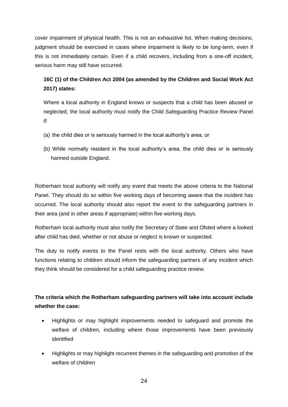cover impairment of physical health. This is not an exhaustive list. When making decisions, judgment should be exercised in cases where impairment is likely to be long-term, even if this is not immediately certain. Even if a child recovers, including from a one-off incident, serious harm may still have occurred.

## **16C (1) of the Children Act 2004 (as amended by the Children and Social Work Act 2017) states:**

Where a local authority in England knows or suspects that a child has been abused or neglected, the local authority must notify the Child Safeguarding Practice Review Panel if:

- (a) the child dies or is seriously harmed in the local authority's area, or
- (b) While normally resident in the local authority's area, the child dies or is seriously harmed outside England.

Rotherham local authority will notify any event that meets the above criteria to the National Panel. They should do so within five working days of becoming aware that the incident has occurred. The local authority should also report the event to the safeguarding partners in their area (and in other areas if appropriate) within five working days.

Rotherham local authority must also notify the Secretary of State and Ofsted where a looked after child has died, whether or not abuse or neglect is known or suspected.

The duty to notify events to the Panel rests with the local authority. Others who have functions relating to children should inform the safeguarding partners of any incident which they think should be considered for a child safeguarding practice review.

## **The criteria which the Rotherham safeguarding partners will take into account include whether the case:**

- Highlights or may highlight improvements needed to safeguard and promote the welfare of children, including where those improvements have been previously identified
- Highlights or may highlight recurrent themes in the safeguarding and promotion of the welfare of children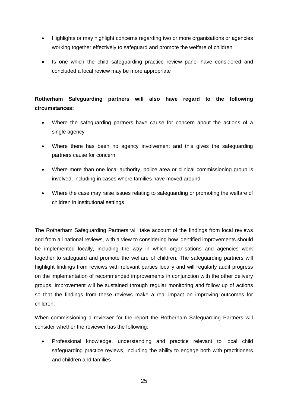- Highlights or may highlight concerns regarding two or more organisations or agencies working together effectively to safeguard and promote the welfare of children
- Is one which the child safeguarding practice review panel have considered and concluded a local review may be more appropriate

## **Rotherham Safeguarding partners will also have regard to the following circumstances:**

- Where the safeguarding partners have cause for concern about the actions of a single agency
- Where there has been no agency involvement and this gives the safeguarding partners cause for concern
- Where more than one local authority, police area or clinical commissioning group is involved, including in cases where families have moved around
- Where the case may raise issues relating to safeguarding or promoting the welfare of children in institutional settings

The Rotherham Safeguarding Partners will take account of the findings from local reviews and from all national reviews, with a view to considering how identified improvements should be implemented locally, including the way in which organisations and agencies work together to safeguard and promote the welfare of children. The safeguarding partners will highlight findings from reviews with relevant parties locally and will regularly audit progress on the implementation of recommended improvements in conjunction with the other delivery groups. Improvement will be sustained through regular monitoring and follow up of actions so that the findings from these reviews make a real impact on improving outcomes for children.

When commissioning a reviewer for the report the Rotherham Safeguarding Partners will consider whether the reviewer has the following:

 Professional knowledge, understanding and practice relevant to local child safeguarding practice reviews, including the ability to engage both with practitioners and children and families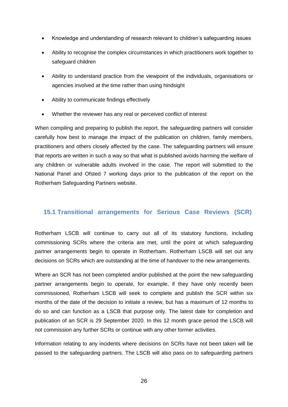- Knowledge and understanding of research relevant to children's safeguarding issues
- Ability to recognise the complex circumstances in which practitioners work together to safeguard children
- Ability to understand practice from the viewpoint of the individuals, organisations or agencies involved at the time rather than using hindsight
- Ability to communicate findings effectively
- Whether the reviewer has any real or perceived conflict of interest

When compiling and preparing to publish the report, the safeguarding partners will consider carefully how best to manage the impact of the publication on children, family members, practitioners and others closely affected by the case. The safeguarding partners will ensure that reports are written in such a way so that what is published avoids harming the welfare of any children or vulnerable adults involved in the case. The report will submitted to the National Panel and Ofsted 7 working days prior to the publication of the report on the Rotherham Safeguarding Partners website.

#### <span id="page-25-0"></span>**15.1 Transitional arrangements for Serious Case Reviews (SCR)**

Rotherham LSCB will continue to carry out all of its statutory functions, including commissioning SCRs where the criteria are met, until the point at which safeguarding partner arrangements begin to operate in Rotherham. Rotherham LSCB will set out any decisions on SCRs which are outstanding at the time of handover to the new arrangements.

Where an SCR has not been completed and/or published at the point the new safeguarding partner arrangements begin to operate, for example, if they have only recently been commissioned, Rotherham LSCB will seek to complete and publish the SCR within six months of the date of the decision to initiate a review, but has a maximum of 12 months to do so and can function as a LSCB that purpose only. The latest date for completion and publication of an SCR is 29 September 2020. In this 12 month grace period the LSCB will not commission any further SCRs or continue with any other former activities.

Information relating to any incidents where decisions on SCRs have not been taken will be passed to the safeguarding partners. The LSCB will also pass on to safeguarding partners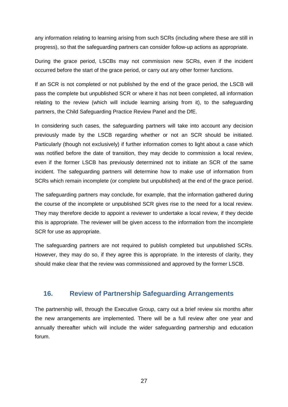any information relating to learning arising from such SCRs (including where these are still in progress), so that the safeguarding partners can consider follow-up actions as appropriate.

During the grace period, LSCBs may not commission new SCRs, even if the incident occurred before the start of the grace period, or carry out any other former functions.

If an SCR is not completed or not published by the end of the grace period, the LSCB will pass the complete but unpublished SCR or where it has not been completed, all information relating to the review (which will include learning arising from it), to the safeguarding partners, the Child Safeguarding Practice Review Panel and the DfE.

In considering such cases, the safeguarding partners will take into account any decision previously made by the LSCB regarding whether or not an SCR should be initiated. Particularly (though not exclusively) if further information comes to light about a case which was notified before the date of transition, they may decide to commission a local review, even if the former LSCB has previously determined not to initiate an SCR of the same incident. The safeguarding partners will determine how to make use of information from SCRs which remain incomplete (or complete but unpublished) at the end of the grace period.

The safeguarding partners may conclude, for example, that the information gathered during the course of the incomplete or unpublished SCR gives rise to the need for a local review. They may therefore decide to appoint a reviewer to undertake a local review, if they decide this is appropriate. The reviewer will be given access to the information from the incomplete SCR for use as appropriate.

The safeguarding partners are not required to publish completed but unpublished SCRs. However, they may do so, if they agree this is appropriate. In the interests of clarity, they should make clear that the review was commissioned and approved by the former LSCB.

#### <span id="page-26-0"></span>**16. Review of Partnership Safeguarding Arrangements**

The partnership will, through the Executive Group, carry out a brief review six months after the new arrangements are implemented. There will be a full review after one year and annually thereafter which will include the wider safeguarding partnership and education forum.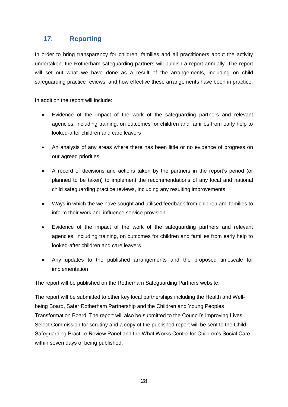## <span id="page-27-0"></span>**17. Reporting**

In order to bring transparency for children, families and all practitioners about the activity undertaken, the Rotherham safeguarding partners will publish a report annually. The report will set out what we have done as a result of the arrangements, including on child safeguarding practice reviews, and how effective these arrangements have been in practice.

In addition the report will include:

- Evidence of the impact of the work of the safeguarding partners and relevant agencies, including training, on outcomes for children and families from early help to looked-after children and care leavers
- An analysis of any areas where there has been little or no evidence of progress on our agreed priorities
- A record of decisions and actions taken by the partners in the report's period (or planned to be taken) to implement the recommendations of any local and national child safeguarding practice reviews, including any resulting improvements
- Ways in which the we have sought and utilised feedback from children and families to inform their work and influence service provision
- Evidence of the impact of the work of the safeguarding partners and relevant agencies, including training, on outcomes for children and families from early help to looked-after children and care leavers
- Any updates to the published arrangements and the proposed timescale for implementation

The report will be published on the Rotherham Safeguarding Partners website.

The report will be submitted to other key local partnerships including the Health and Wellbeing Board, Safer Rotherham Partnership and the Children and Young Peoples Transformation Board. The report will also be submitted to the Council's Improving Lives Select Commission for scrutiny and a copy of the published report will be sent to the Child Safeguarding Practice Review Panel and the What Works Centre for Children's Social Care within seven days of being published.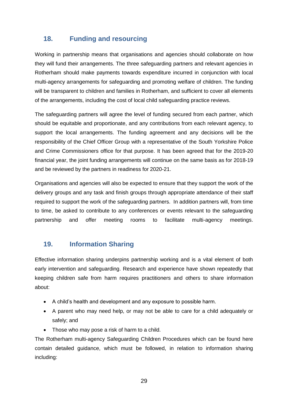## <span id="page-28-0"></span>**18. Funding and resourcing**

Working in partnership means that organisations and agencies should collaborate on how they will fund their arrangements. The three safeguarding partners and relevant agencies in Rotherham should make payments towards expenditure incurred in conjunction with local multi-agency arrangements for safeguarding and promoting welfare of children. The funding will be transparent to children and families in Rotherham, and sufficient to cover all elements of the arrangements, including the cost of local child safeguarding practice reviews.

The safeguarding partners will agree the level of funding secured from each partner, which should be equitable and proportionate, and any contributions from each relevant agency, to support the local arrangements. The funding agreement and any decisions will be the responsibility of the Chief Officer Group with a representative of the South Yorkshire Police and Crime Commissioners office for that purpose. It has been agreed that for the 2019-20 financial year, the joint funding arrangements will continue on the same basis as for 2018-19 and be reviewed by the partners in readiness for 2020-21.

Organisations and agencies will also be expected to ensure that they support the work of the delivery groups and any task and finish groups through appropriate attendance of their staff required to support the work of the safeguarding partners. In addition partners will, from time to time, be asked to contribute to any conferences or events relevant to the safeguarding partnership and offer meeting rooms to facilitate multi-agency meetings.

## <span id="page-28-1"></span>**19. Information Sharing**

Effective information sharing underpins partnership working and is a vital element of both early intervention and safeguarding. Research and experience have shown repeatedly that keeping children safe from harm requires practitioners and others to share information about:

- A child's health and development and any exposure to possible harm.
- A parent who may need help, or may not be able to care for a child adequately or safely; and
- Those who may pose a risk of harm to a child.

The Rotherham multi-agency Safeguarding Children Procedures which can be found here contain detailed guidance, which must be followed, in relation to information sharing including: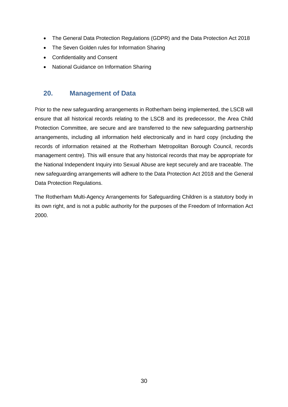- The General Data Protection Regulations (GDPR) and the Data Protection Act 2018
- The Seven Golden rules for Information Sharing
- Confidentiality and Consent
- National Guidance on Information Sharing

## <span id="page-29-0"></span>**20. Management of Data**

Prior to the new safeguarding arrangements in Rotherham being implemented, the LSCB will ensure that all historical records relating to the LSCB and its predecessor, the Area Child Protection Committee, are secure and are transferred to the new safeguarding partnership arrangements, including all information held electronically and in hard copy (including the records of information retained at the Rotherham Metropolitan Borough Council, records management centre). This will ensure that any historical records that may be appropriate for the National Independent Inquiry into Sexual Abuse are kept securely and are traceable. The new safeguarding arrangements will adhere to the Data Protection Act 2018 and the General Data Protection Regulations.

The Rotherham Multi-Agency Arrangements for Safeguarding Children is a statutory body in its own right, and is not a public authority for the purposes of the Freedom of Information Act 2000.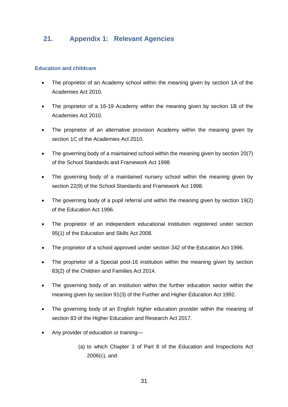## <span id="page-30-0"></span>**21. Appendix 1: Relevant Agencies**

#### **Education and childcare**

- The proprietor of an Academy school within the meaning given by section 1A of the Academies Act 2010.
- The proprietor of a 16-19 Academy within the meaning given by section 1B of the Academies Act 2010.
- The proprietor of an alternative provision Academy within the meaning given by section 1C of the Academies Act 2010.
- The governing body of a maintained school within the meaning given by section 20(7) of the School Standards and Framework Act 1998.
- The governing body of a maintained nursery school within the meaning given by section 22(9) of the School Standards and Framework Act 1998.
- The governing body of a pupil referral unit within the meaning given by section 19(2) of the Education Act 1996.
- The proprietor of an independent educational institution registered under section 95(1) of the Education and Skills Act 2008.
- The proprietor of a school approved under section 342 of the Education Act 1996.
- The proprietor of a Special post-16 institution within the meaning given by section 83(2) of the Children and Families Act 2014.
- The governing body of an institution within the further education sector within the meaning given by section 91(3) of the Further and Higher Education Act 1992.
- The governing body of an English higher education provider within the meaning of section 83 of the Higher Education and Research Act 2017.
- Any provider of education or training—
	- (a) to which Chapter 3 of Part 8 of the Education and Inspections Act 2006(c), and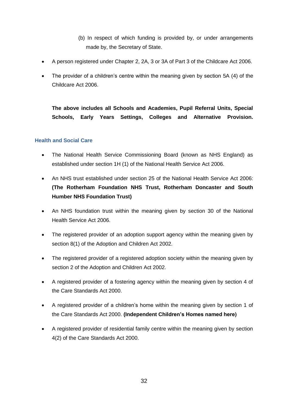- (b) In respect of which funding is provided by, or under arrangements made by, the Secretary of State.
- A person registered under Chapter 2, 2A, 3 or 3A of Part 3 of the Childcare Act 2006.
- The provider of a children's centre within the meaning given by section 5A (4) of the Childcare Act 2006.

**The above includes all Schools and Academies, Pupil Referral Units, Special Schools, Early Years Settings, Colleges and Alternative Provision.**

#### **Health and Social Care**

- The National Health Service Commissioning Board (known as NHS England) as established under section 1H (1) of the National Health Service Act 2006.
- An NHS trust established under section 25 of the National Health Service Act 2006: **(The Rotherham Foundation NHS Trust, Rotherham Doncaster and South Humber NHS Foundation Trust)**
- An NHS foundation trust within the meaning given by section 30 of the National Health Service Act 2006.
- The registered provider of an adoption support agency within the meaning given by section 8(1) of the Adoption and Children Act 2002.
- The registered provider of a registered adoption society within the meaning given by section 2 of the Adoption and Children Act 2002.
- A registered provider of a fostering agency within the meaning given by section 4 of the Care Standards Act 2000.
- A registered provider of a children's home within the meaning given by section 1 of the Care Standards Act 2000. **(Independent Children's Homes named here)**
- A registered provider of residential family centre within the meaning given by section 4(2) of the Care Standards Act 2000.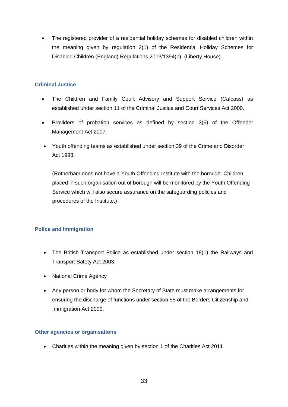• The registered provider of a residential holiday schemes for disabled children within the meaning given by regulation 2(1) of the Residential Holiday Schemes for Disabled Children (England) Regulations 2013/1394(b). (Liberty House).

#### **Criminal Justice**

- The Children and Family Court Advisory and Support Service (Cafcass) as established under section 11 of the Criminal Justice and Court Services Act 2000.
- Providers of probation services as defined by section 3(6) of the Offender Management Act 2007.
- Youth offending teams as established under section 39 of the Crime and Disorder Act 1998.

(Rotherham does not have a Youth Offending Institute with the borough. Children placed in such organisation out of borough will be monitored by the Youth Offending Service which will also secure assurance on the safeguarding policies and procedures of the Institute.)

#### **Police and Immigration**

- The British Transport Police as established under section 18(1) the Railways and Transport Safety Act 2003.
- National Crime Agency
- Any person or body for whom the Secretary of State must make arrangements for ensuring the discharge of functions under section 55 of the Borders Citizenship and Immigration Act 2009.

#### **Other agencies or organisations**

Charities within the meaning given by section 1 of the Charities Act 2011